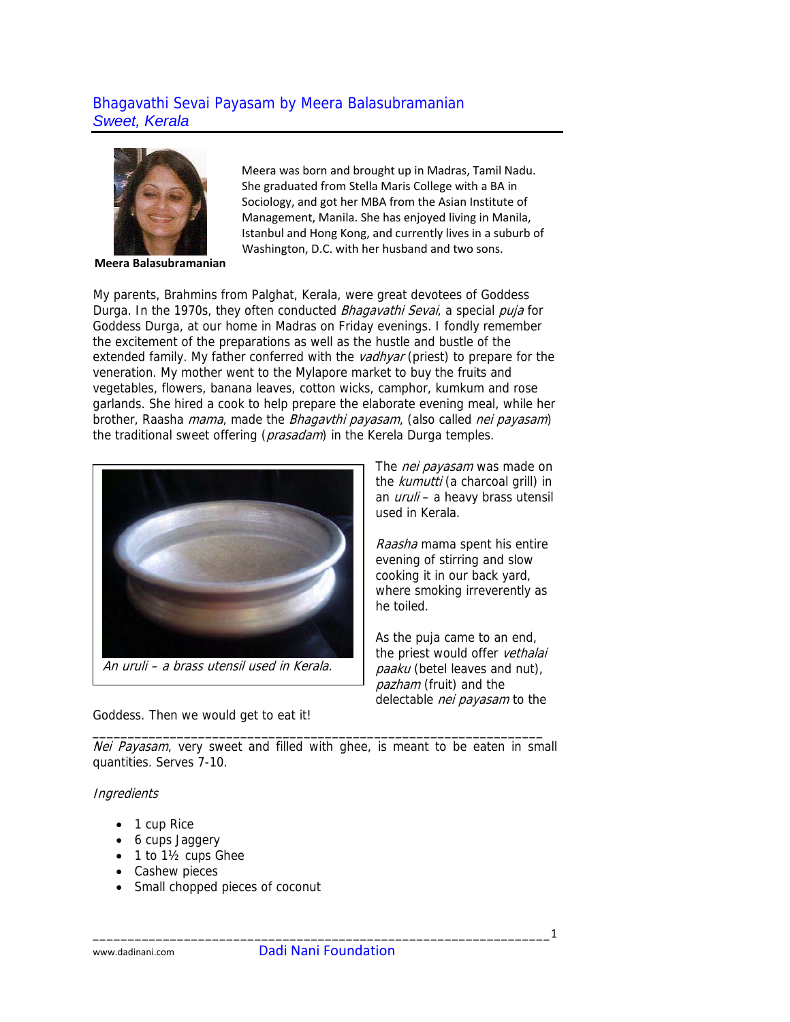## Bhagavathi Sevai Payasam by Meera Balasubramanian *Sweet, Kerala*



**Meera Balasubramanian**

Meera was born and brought up in Madras, Tamil Nadu. She graduated from Stella Maris College with a BA in Sociology, and got her MBA from the Asian Institute of Management, Manila. She has enjoyed living in Manila, Istanbul and Hong Kong, and currently lives in a suburb of Washington, D.C. with her husband and two sons.

My parents, Brahmins from Palghat, Kerala, were great devotees of Goddess Durga. In the 1970s, they often conducted *Bhagavathi Sevai*, a special *puja* for Goddess Durga, at our home in Madras on Friday evenings. I fondly remember the excitement of the preparations as well as the hustle and bustle of the extended family. My father conferred with the *vadhyar* (priest) to prepare for the veneration. My mother went to the Mylapore market to buy the fruits and vegetables, flowers, banana leaves, cotton wicks, camphor, kumkum and rose garlands. She hired a cook to help prepare the elaborate evening meal, while her brother, Raasha *mama*, made the *Bhagavthi payasam*, (also called *nei payasam*) the traditional sweet offering (*prasadam*) in the Kerela Durga temples.



The *nei payasam* was made on the kumutti (a charcoal grill) in an *uruli* – a heavy brass utensil used in Kerala.

Raasha mama spent his entire evening of stirring and slow cooking it in our back yard, where smoking irreverently as he toiled.

As the puja came to an end, the priest would offer vethalai paaku (betel leaves and nut), pazham (fruit) and the delectable nei payasam to the

Goddess. Then we would get to eat it!

Nei Payasam, very sweet and filled with ghee, is meant to be eaten in small quantities. Serves 7-10.

\_\_\_\_\_\_\_\_\_\_\_\_\_\_\_\_\_\_\_\_\_\_\_\_\_\_\_\_\_\_\_\_\_\_\_\_\_\_\_\_\_\_\_\_\_\_\_\_\_\_\_\_\_\_\_\_\_\_\_\_\_\_\_\_

## **Ingredients**

- 1 cup Rice
- 6 cups Jaggery
- 1 to 1½ cups Ghee
- Cashew pieces
- Small chopped pieces of coconut